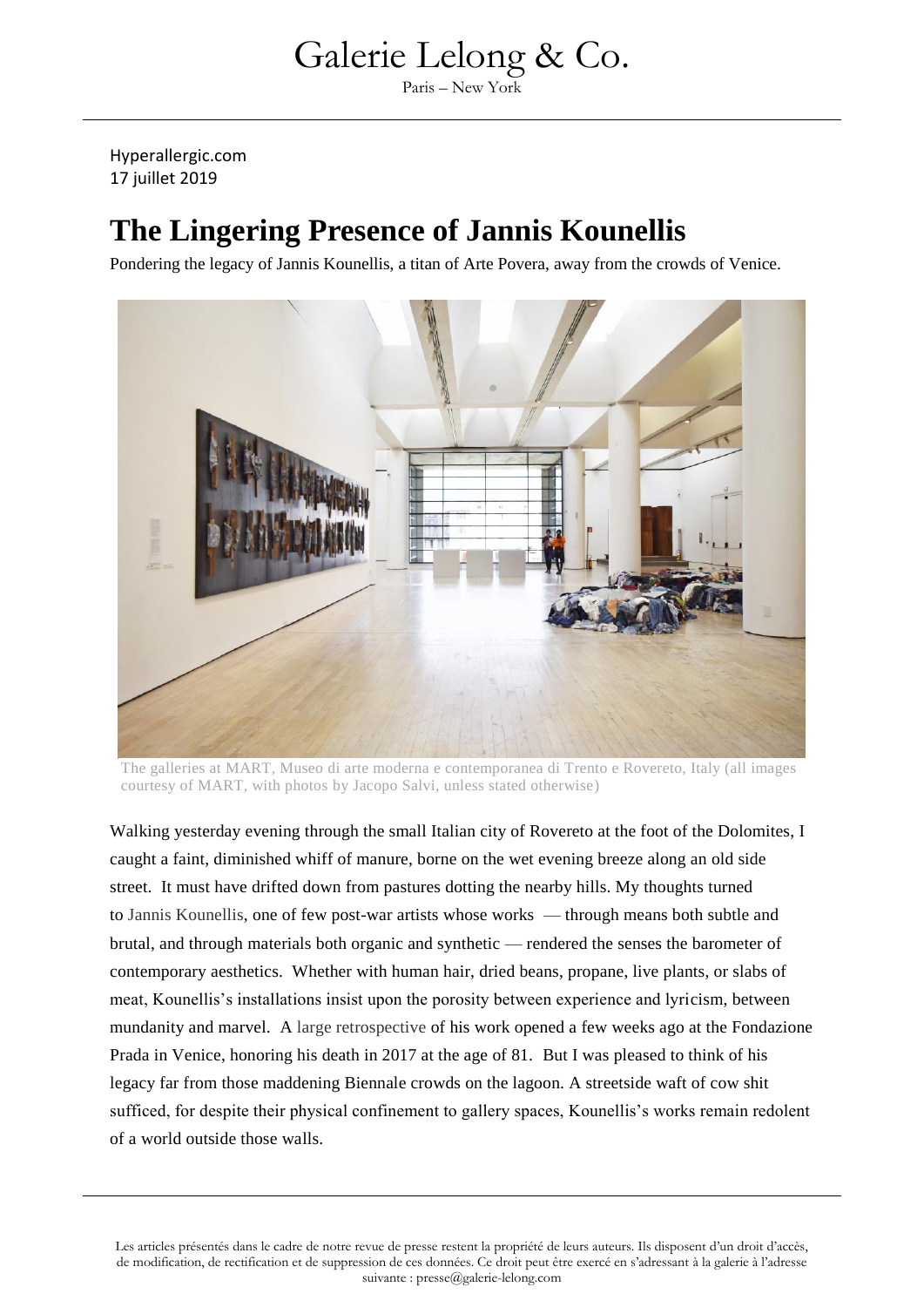Paris – New York

Hyperallergic.com 17 juillet 2019

#### **The Lingering Presence of Jannis Kounellis**

Pondering the legacy of Jannis Kounellis, a titan of Arte Povera, away from the crowds of Venice.



The galleries at MART, Museo di arte moderna e contemporanea di Trento e Rovereto, Italy (all images courtesy of MART, with photos by Jacopo Salvi, unless stated otherwise)

Walking yesterday evening through the small Italian city of Rovereto at the foot of the Dolomites, I caught a faint, diminished whiff of manure, borne on the wet evening breeze along an old side street. It must have drifted down from pastures dotting the nearby hills. My thoughts turned to [Jannis Kounellis,](https://en.wikipedia.org/wiki/Jannis_Kounellis) one of few post-war artists whose works — through means both subtle and brutal, and through materials both organic and synthetic — rendered the senses the barometer of contemporary aesthetics. Whether with human hair, dried beans, propane, live plants, or slabs of meat, Kounellis's installations insist upon the porosity between experience and lyricism, between mundanity and marvel. A [large retrospective](http://www.fondazioneprada.org/project/jannis-kounellis/?lang=en) of his work opened a few weeks ago at the Fondazione Prada in Venice, honoring his death in 2017 at the age of 81. But I was pleased to think of his legacy far from those maddening Biennale crowds on the lagoon. A streetside waft of cow shit sufficed, for despite their physical confinement to gallery spaces, Kounellis's works remain redolent of a world outside those walls.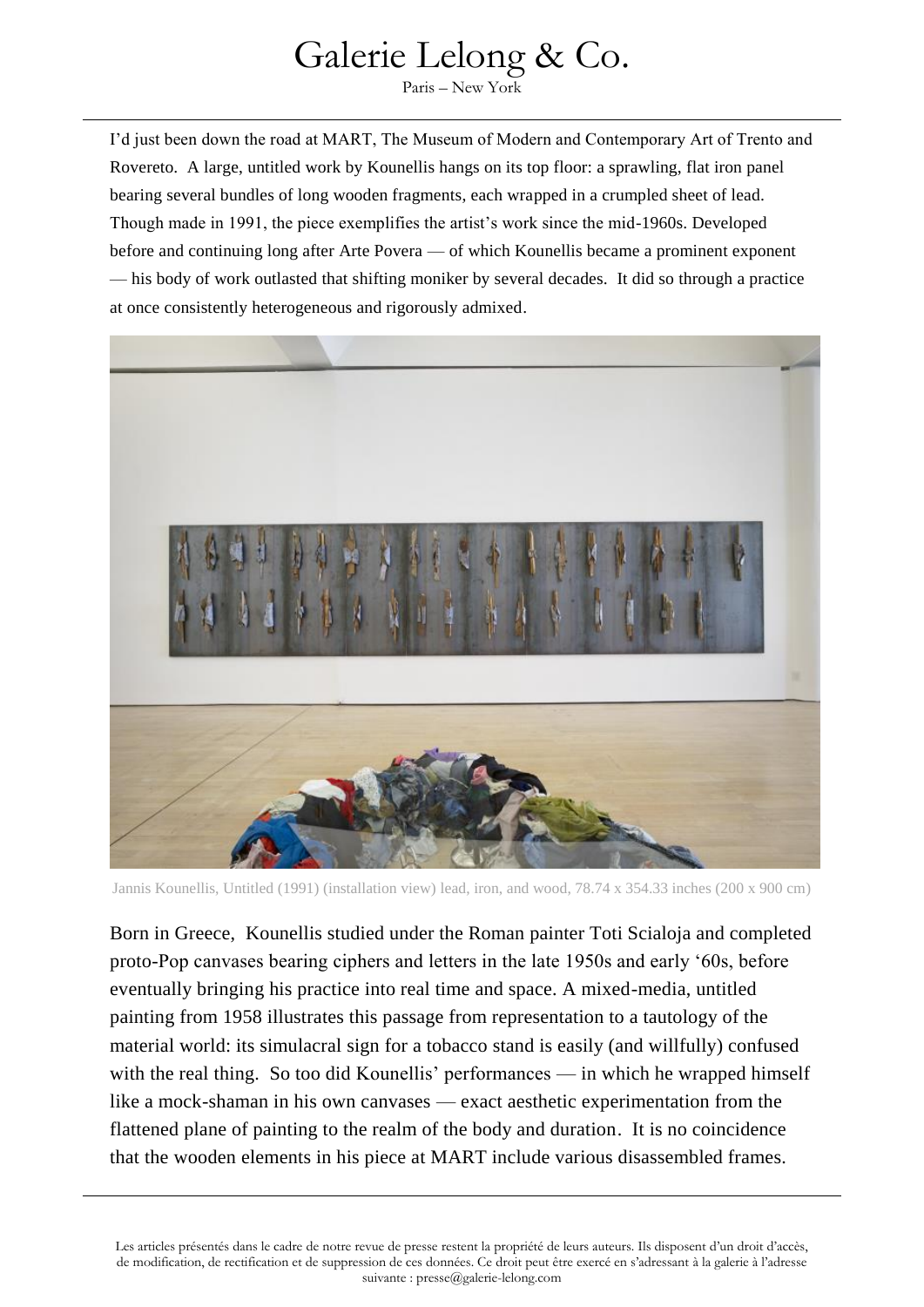Paris – New York

I'd just been down the road at MART, The Museum of Modern and Contemporary Art of Trento and Rovereto. A large, untitled work by Kounellis hangs on its top floor: a sprawling, flat iron panel bearing several bundles of long wooden fragments, each wrapped in a crumpled sheet of lead. Though made in 1991, the piece exemplifies the artist's work since the mid-1960s. Developed before and continuing long after Arte Povera — of which Kounellis became a prominent exponent — his body of work outlasted that shifting moniker by several decades. It did so through a practice at once consistently heterogeneous and rigorously admixed.



Jannis Kounellis, Untitled (1991) (installation view) lead, iron, and wood, 78.74 x 354.33 inches (200 x 900 cm)

Born in Greece, Kounellis studied under the Roman painter Toti Scialoja and completed proto-Pop canvases bearing ciphers and letters in the late 1950s and early '60s, before eventually bringing his practice into real time and space. A mixed-media, untitled painting from 1958 illustrates this passage from representation to a tautology of the material world: its simulacral sign for a tobacco stand is easily (and willfully) confused with the real thing. So too did Kounellis' performances — in which he wrapped himself like a mock-shaman in his own canvases — exact aesthetic experimentation from the flattened plane of painting to the realm of the body and duration. It is no coincidence that the wooden elements in his piece at MART include various disassembled frames.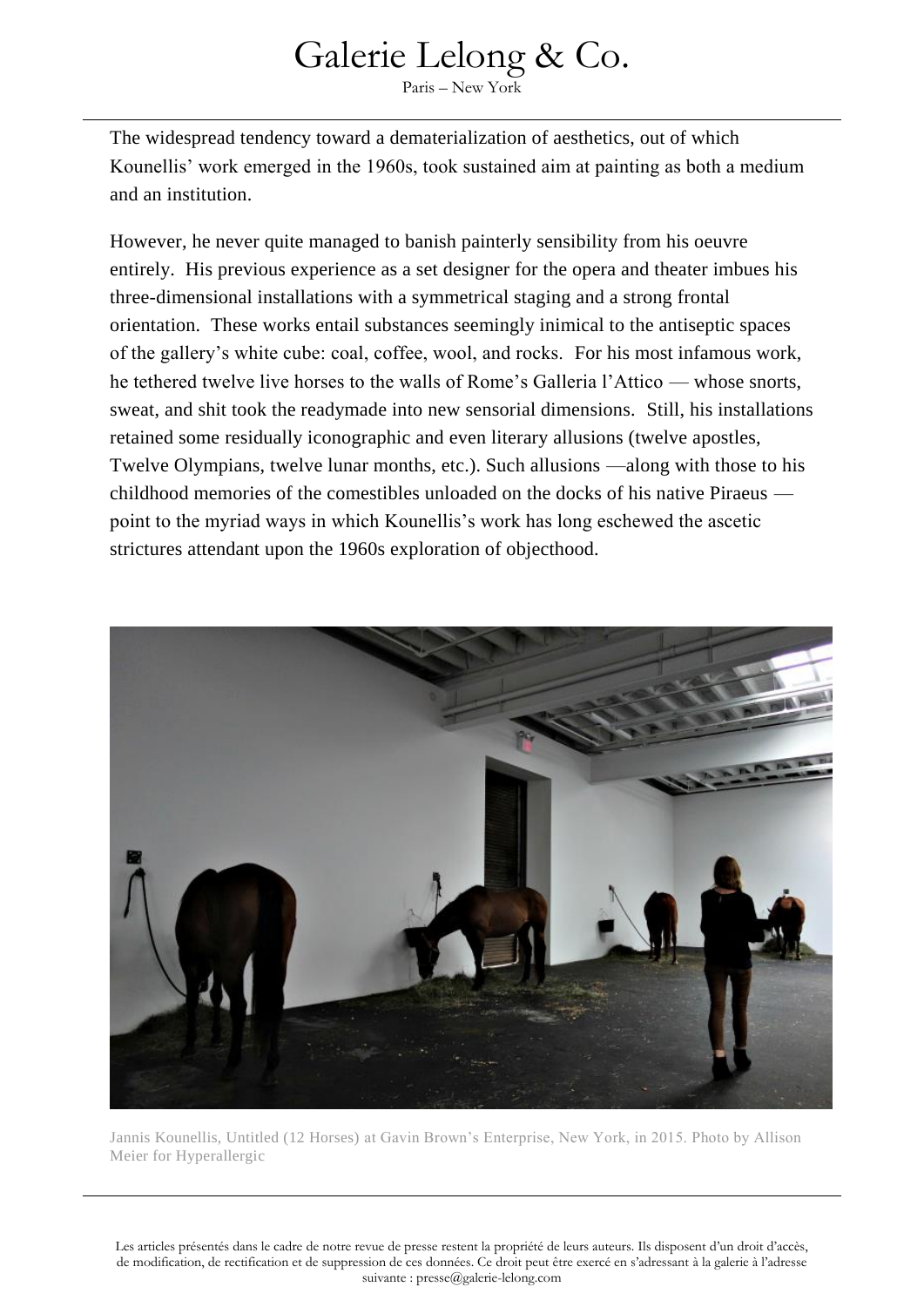Paris – New York

The widespread tendency toward a dematerialization of aesthetics, out of which Kounellis' work emerged in the 1960s, took sustained aim at painting as both a medium and an institution.

However, he never quite managed to banish painterly sensibility from his oeuvre entirely. His previous experience as a set designer for the opera and theater imbues his three-dimensional installations with a symmetrical staging and a strong frontal orientation. These works entail substances seemingly inimical to the antiseptic spaces of the gallery's white cube: coal, coffee, wool, and rocks. For his most infamous work, he tethered twelve live horses to the walls of Rome's Galleria l'Attico — whose snorts, sweat, and shit took the readymade into new sensorial dimensions. Still, his installations retained some residually iconographic and even literary allusions (twelve apostles, Twelve Olympians, twelve lunar months, etc.). Such allusions —along with those to his childhood memories of the comestibles unloaded on the docks of his native Piraeus point to the myriad ways in which Kounellis's work has long eschewed the ascetic strictures attendant upon the 1960s exploration of objecthood.



Jannis Kounellis, Untitled (12 Horses) at Gavin Brown's Enterprise, New York, in 2015. Photo by Allison Meier for Hyperallergic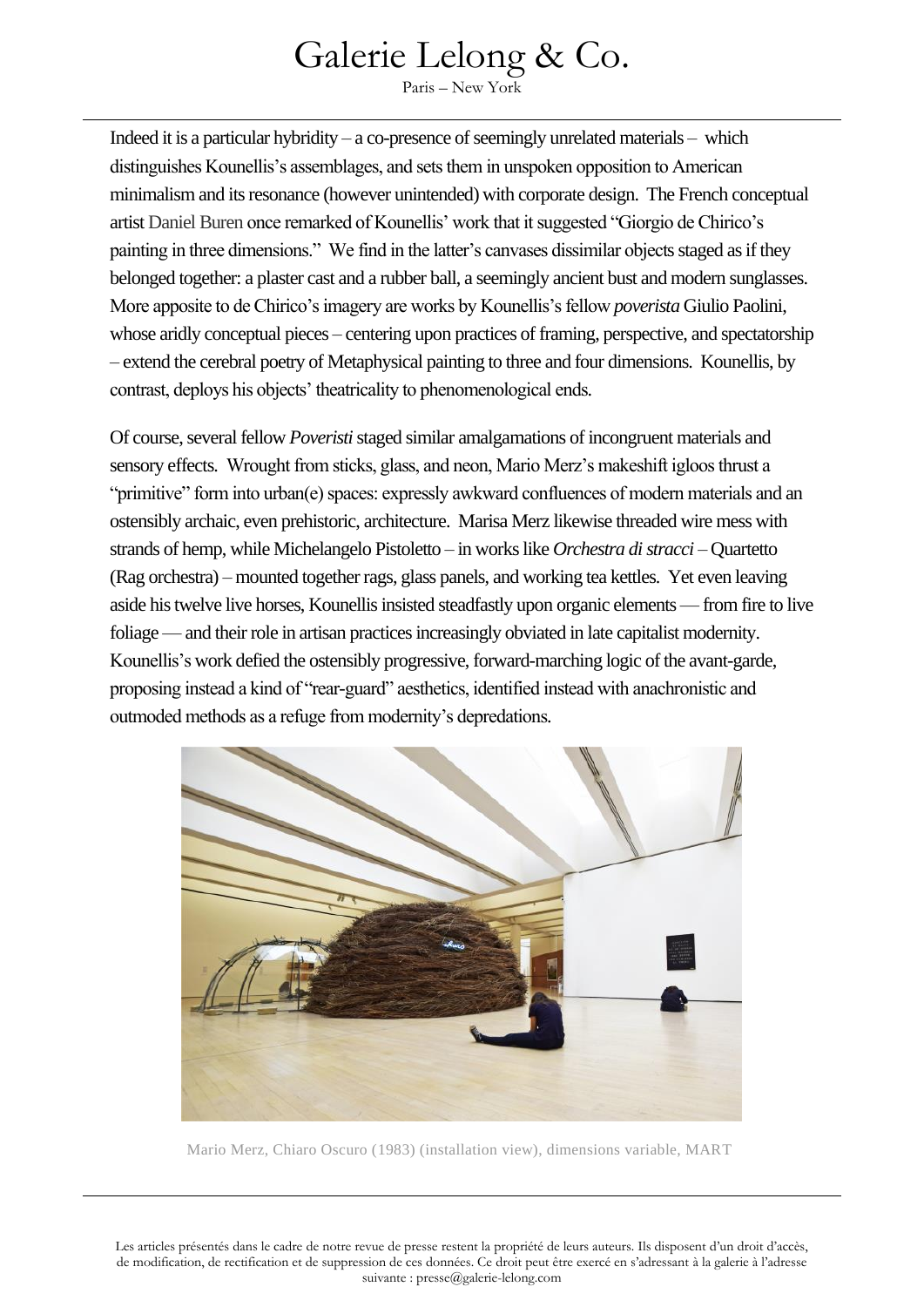Paris – New York

Indeed it is a particular hybridity – a co-presence of seemingly unrelated materials – which distinguishes Kounellis's assemblages, and sets them in unspoken opposition to American minimalism and its resonance (however unintended) with corporate design. The French conceptual artist [Daniel Buren](https://en.wikipedia.org/wiki/Daniel_Buren) once remarked of Kounellis' work that it suggested "Giorgio de Chirico's painting in three dimensions." We find in the latter's canvases dissimilar objects staged as if they belonged together: a plaster cast and a rubber ball, a seemingly ancient bust and modern sunglasses. More apposite to de Chirico's imagery are works by Kounellis's fellow *poverista* Giulio Paolini, whose aridly conceptual pieces – centering upon practices of framing, perspective, and spectatorship – extend the cerebral poetry of Metaphysical painting to three and four dimensions. Kounellis, by contrast, deploys his objects' theatricality to phenomenological ends.

Of course, several fellow *Poveristi*staged similar amalgamations of incongruent materials and sensory effects. Wrought from sticks, glass, and neon, Mario Merz's makeshift igloos thrust a "primitive" form into urban(e) spaces: expressly awkward confluences of modern materials and an ostensibly archaic, even prehistoric, architecture. Marisa Merz likewise threaded wire mess with strands of hemp, while Michelangelo Pistoletto – in works like *Orchestra di stracci* – Quartetto (Rag orchestra) – mounted together rags, glass panels, and working tea kettles. Yet even leaving aside his twelve live horses, Kounellis insisted steadfastly upon organic elements — from fire to live foliage — and their role in artisan practices increasingly obviated in late capitalist modernity. Kounellis's work defied the ostensibly progressive, forward-marching logic of the avant-garde, proposing instead a kind of "rear-guard" aesthetics, identified instead with anachronistic and outmoded methods as a refuge from modernity's depredations.



Mario Merz, Chiaro Oscuro (1983) (installation view), dimensions variable, MART